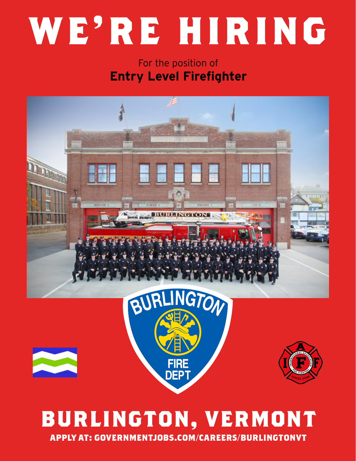# **WE'RE HIRING**

### For the position of **Entry Level Firefighter**



# **BURLINGTON, VERMONT APPLY AT: GOVERNMENTJOBS.COM/CAREERS/BURLINGTONVT**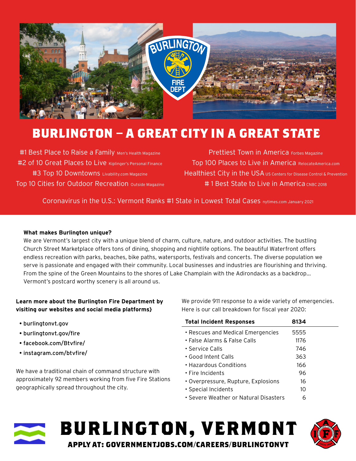

## **BURLINGTON – A GREAT CITY IN A GREAT STATE**

#1 Best Place to Raise a Family Men's Health Magazine #2 of 10 Great Places to Live Kiplinger's Personal Finance #3 Top 10 Downtowns Livability.com Magazine Top 10 Cities for Outdoor Recreation outside Magazine

Prettiest Town in America Forbes Magazine Top 100 Places to Live in America RelocateAmerica.com Healthiest City in the USA US Centers for Disease Control & Prevention #1 Best State to Live in America CNBC 2018

Coronavirus in the U.S.: Vermont Ranks #1 State in Lowest Total Cases nytimes.com January 2021

#### **What makes Burlington unique?**

We are Vermont's largest city with a unique blend of charm, culture, nature, and outdoor activities. The bustling Church Street Marketplace offers tons of dining, shopping and nightlife options. The beautiful Waterfront offers endless recreation with parks, beaches, bike paths, watersports, festivals and concerts. The diverse population we serve is passionate and engaged with their community. Local businesses and industries are flourishing and thriving. From the spine of the Green Mountains to the shores of Lake Champlain with the Adirondacks as a backdrop... Vermont's postcard worthy scenery is all around us.

#### **Learn more about the Burlington Fire Department by visiting our websites and social media platforms}**

- burlingtonvt.gov
- burlingtonvt.gov/fire
- facebook.com/Btvfire/
- instagram.com/btvfire/

We have a traditional chain of command structure with approximately 92 members working from five Fire Stations geographically spread throughout the city.

We provide 911 response to a wide variety of emergencies. Here is our call breakdown for fiscal year 2020:

| <b>Total Incident Responses</b>       | 8134 |  |
|---------------------------------------|------|--|
| • Rescues and Medical Emergencies     | 5555 |  |
| • False Alarms & False Calls          | 1176 |  |
| • Service Calls                       | 746  |  |
| • Good Intent Calls                   | 363  |  |
| • Hazardous Conditions                | 166  |  |
| $\cdot$ Fire Incidents                | 96   |  |
| • Overpressure, Rupture, Explosions   | 16   |  |
| • Special Incidents                   | 10   |  |
| • Severe Weather or Natural Disasters | 6    |  |



**BURLINGTON, VERMONT APPLY AT: GOVERNMENTJOBS.COM/CAREERS/BURLINGTONVT**

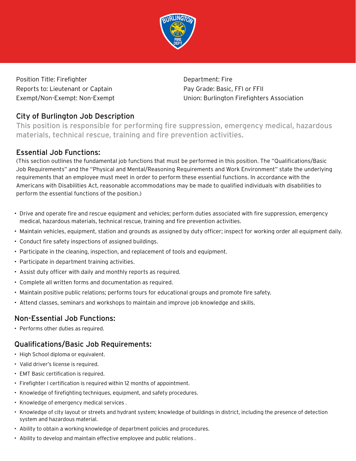

Position Title: Firefighter **Department: Fire** Department: Fire Reports to: Lieutenant or Captain Pay Grade: Basic, FFI or FFII

Exempt/Non-Exempt: Non-Exempt Union: Burlington Firefighters Association

#### City of Burlington Job Description

This position is responsible for performing fire suppression, emergency medical, hazardous materials, technical rescue, training and fire prevention activities.

#### Essential Job Functions:

(This section outlines the fundamental job functions that must be performed in this position. The "Qualifications/Basic Job Requirements" and the "Physical and Mental/Reasoning Requirements and Work Environment" state the underlying requirements that an employee must meet in order to perform these essential functions. In accordance with the Americans with Disabilities Act, reasonable accommodations may be made to qualified individuals with disabilities to perform the essential functions of the position.)

- Drive and operate fire and rescue equipment and vehicles; perform duties associated with fire suppression, emergency medical, hazardous materials, technical rescue, training and fire prevention activities.
- Maintain vehicles, equipment, station and grounds as assigned by duty officer; inspect for working order all equipment daily.
- Conduct fire safety inspections of assigned buildings.
- Participate in the cleaning, inspection, and replacement of tools and equipment.
- Participate in department training activities.
- Assist duty officer with daily and monthly reports as required.
- Complete all written forms and documentation as required.
- Maintain positive public relations; performs tours for educational groups and promote fire safety.
- Attend classes, seminars and workshops to maintain and improve job knowledge and skills.

#### Non-Essential Job Functions:

• Performs other duties as required.

#### Qualifications/Basic Job Requirements:

- High School diploma or equivalent.
- Valid driver's license is required.
- EMT Basic certification is required.
- Firefighter I certification is required within 12 months of appointment.
- Knowledge of firefighting techniques, equipment, and safety procedures.
- Knowledge of emergency medical services .
- Knowledge of city layout or streets and hydrant system; knowledge of buildings in district, including the presence of detection system and hazardous material.
- Ability to obtain a working knowledge of department policies and procedures.
- Ability to develop and maintain effective employee and public relations .